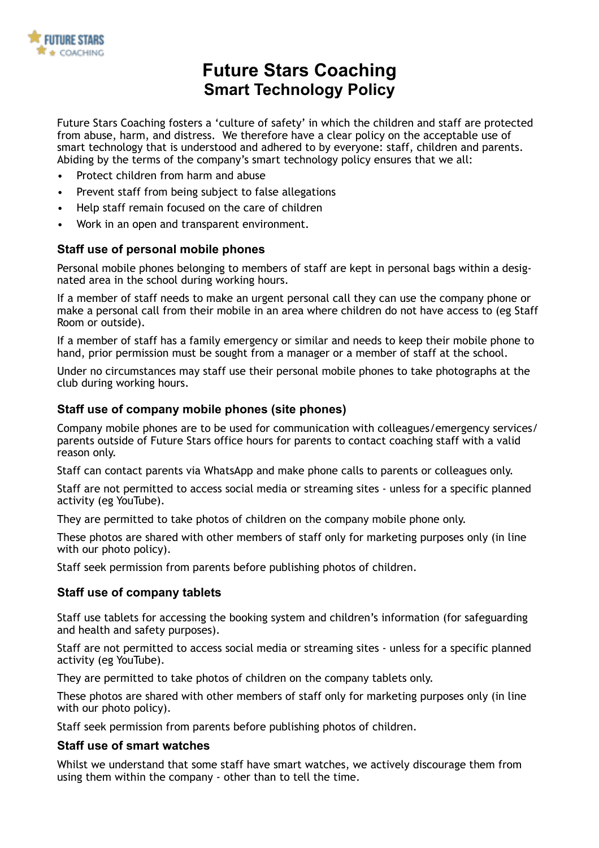

# **Future Stars Coaching Smart Technology Policy**

Future Stars Coaching fosters a 'culture of safety' in which the children and staff are protected from abuse, harm, and distress. We therefore have a clear policy on the acceptable use of smart technology that is understood and adhered to by everyone: staff, children and parents. Abiding by the terms of the company's smart technology policy ensures that we all:

- Protect children from harm and abuse
- Prevent staff from being subject to false allegations
- Help staff remain focused on the care of children
- Work in an open and transparent environment.

### **Staff use of personal mobile phones**

Personal mobile phones belonging to members of staff are kept in personal bags within a designated area in the school during working hours.

If a member of staff needs to make an urgent personal call they can use the company phone or make a personal call from their mobile in an area where children do not have access to (eg Staff Room or outside).

If a member of staff has a family emergency or similar and needs to keep their mobile phone to hand, prior permission must be sought from a manager or a member of staff at the school.

Under no circumstances may staff use their personal mobile phones to take photographs at the club during working hours.

### **Staff use of company mobile phones (site phones)**

Company mobile phones are to be used for communication with colleagues/emergency services/ parents outside of Future Stars office hours for parents to contact coaching staff with a valid reason only.

Staff can contact parents via WhatsApp and make phone calls to parents or colleagues only.

Staff are not permitted to access social media or streaming sites - unless for a specific planned activity (eg YouTube).

They are permitted to take photos of children on the company mobile phone only.

These photos are shared with other members of staff only for marketing purposes only (in line with our photo policy).

Staff seek permission from parents before publishing photos of children.

### **Staff use of company tablets**

Staff use tablets for accessing the booking system and children's information (for safeguarding and health and safety purposes).

Staff are not permitted to access social media or streaming sites - unless for a specific planned activity (eg YouTube).

They are permitted to take photos of children on the company tablets only.

These photos are shared with other members of staff only for marketing purposes only (in line with our photo policy).

Staff seek permission from parents before publishing photos of children.

### **Staff use of smart watches**

Whilst we understand that some staff have smart watches, we actively discourage them from using them within the company - other than to tell the time.